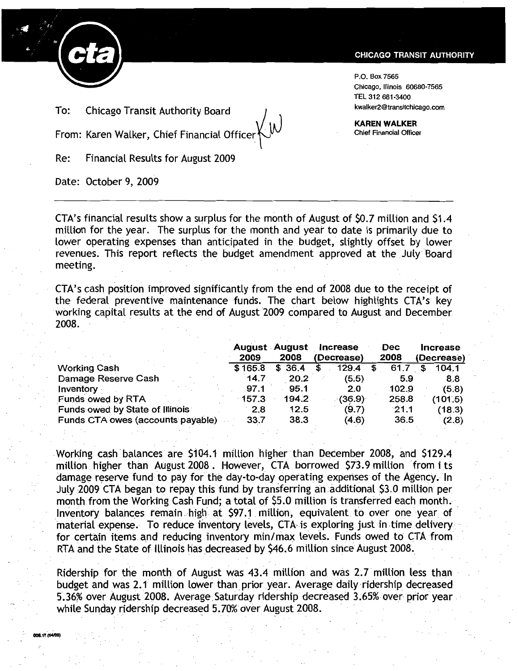

To: Chicago Transit Authority Board (Fig. 1) [101] (In the kwalker2@transitchicago.com

From: Karen Walker, Chief Financial Officer~

Re: Financial Results for August 2009

Date: October 9, 2009

## **CHICAGO TRANSIT AUTHORITY**

P.O. Box 7565 Chicago, Illinois 60680-7565 TEL 312 681·3400

KAREN WALKER Chief Financial Officer

CTA's financial results show a surplus for the month of August of \$0.7 million and \$1 A million for the year. The surplus for the month and year to date is primarily due to lower operating expenses than anticipated in the budget, slightly offset by lower revenues. This report reflects the budget amendment approved at the July Board<br>meeting.<br>CTA's cash position improved significantly from the end of 2008 due to the receipt of meeting.

CTA's cash position improved significantly from the end of 2008 due to the receipt of the federal preventive maintenance funds. The chart below highlights CTA's key working capital results at the end of August 2009 compared to August and December revenues. This report reflects the budget amendment approve<br>meeting.<br>CTA's cash position improved significantly from the end of 2008<br>the federal preventive maintenance funds. The chart below<br>working capital results at the

|                                   | 2009     | <b>August August</b><br>2008 | Increase<br>(Decrease) | <b>Dec</b><br>2008 | <b>Increase</b><br>(Decrease) |
|-----------------------------------|----------|------------------------------|------------------------|--------------------|-------------------------------|
| <b>Working Cash</b>               | \$165.8  | \$36.4                       | 129.4                  | 61.7               | 104.1                         |
| Damage Reserve Cash               | 14.7     | 20.2                         | (5.5)                  | 5.9                | 8.8                           |
| Inventory                         | 97.1     | 95.1                         | 2.0                    | 102.9              | (5.8)                         |
| Funds owed by RTA                 | $-157.3$ | 194.2                        | (36.9)                 | 258.8              | (101.5)                       |
| Funds owed by State of Illinois   | 2.8      | 12.5                         | (9.7)                  | 21.1               | (18.3)                        |
| Funds CTA owes (accounts payable) | 33.7     | 38.3                         | (4.6)                  | 36.5               | (2.8)                         |

Working cash balances. are \$104.1 million higher than December 2008, and \$129.4 million higher than August 2008. However, CTA borrowed \$73.9 million from its damage reserve fund to pay for the day-to-day operating expenses of the Agency. In July 2009 CTA began to repay this fund. by transferring an additional \$3.0 million per month from the Working Cash Fund; a total of \$5.0 million is transferred each month. Inventory balances remain high at \$97.1 million, equivalent to over one year of material expense. To reduce inventory levels, CTA is exploring just in time delivery for certain items and reducing inventory min/max levels. Funds owed to CTA from RTA and the State of Illinois has decreased by \$46.6 million since August 2008. orking cash balances are \$104.1 million higher than December 2008, and \$129.4<br>illion higher than August 2008. However, CTA borrowed \$73.9 million from its<br>image reserve fund to pay for the day-to-day operating expenses of

Ridership for the month of August was 43.4 million and was 2.7 million less than budget and was 2.1 million lower than prior year. Average daily ridership decreased 5.36% over August 2008. Average Saturday ridership decreased 3.65% over prior year. while Sunday ridership decreased 5.70% over August 2008.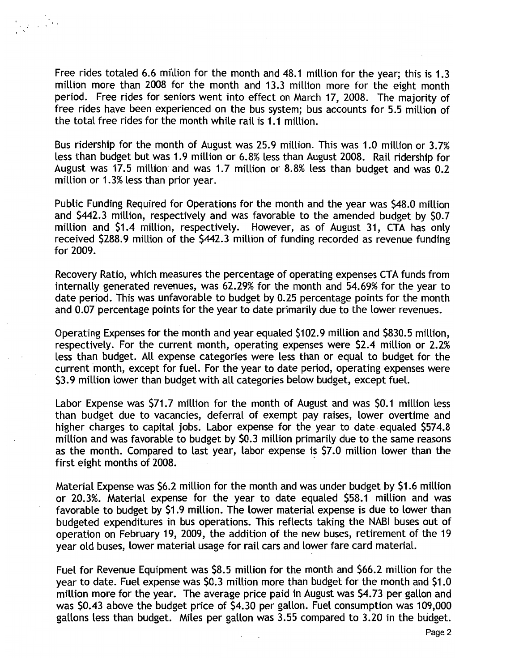Free rides totaled 6.6 million for the month and 48.1 million for the year; this is 1.3 million more than 2008 for the month and 13.3 million more for the eight month period. Free rides for seniors went into effect on March 17, 2008. The majority of free rides have been experienced on the bus system; bus accounts for 5.5 million of the total free rides for the month while rail is 1.1 million.

Bus ridership for the month of August was 25.9 million. This was 1.0 million or 3.7% less than budget but was 1.9 million or 6.8% less than August 2008. Rail ridership for August was 17.5 million and was 1.7 million or 8.8% less than budget and was 0.2 million or 1.3% less than prior year.

Public Funding Required for Operations for the month and the year was \$48.0 million and \$442.3 million, respectively and was favorable to the amended budget by \$0.7 million and \$1.4 million, respectively. However, as of August 31, CTA has only received \$288.9 million of the \$442.3 million of funding recorded as revenue funding for 2009.

Recovery Ratio, which measures the percentage of operating expenses CTA funds from internally generated revenues, was 62.29% for the month and 54.69% for the year to date period. This was unfavorable to budget by 0.25 percentage points for the month and 0.07 percentage points for the year to date primarily due to the lower revenues.

Operating Expenses for the month and year equaled \$102.9 million and \$830.5 million, respectively. For the current month, operating expenses were \$2.4 million or 2.2% less than budget. All expense categories were less than or equal to budget for the current month, except for fuel. For the year to date period, operating expenses were \$3.9 million lower than budget with all categories below budget, except fuel.

Labor Expense was \$71.7 million for the month of August and was \$0'.1 million less than budget due to vacancies, deferral of exempt pay raises, lower overtime and higher charges to capital jobs. Labor expense for the year to date equaled \$574.8 million and was favorable to budget by \$0.3 million primarily due to the same reasons as the month. Compared to last year, labor expense is \$7.0 million lower than the first eight months of 2008.

Material Expense was \$6.2 million for the month and was under budget by \$1.6 million or 20.3%. Material expense for the year to date equaled \$58.1 million and was favorable to budget by \$1.9 million. The lower material expense is due to lower than budgeted expenditures in bus operations. This reflects taking the NABI buses out of operation on February 19, 2009, the addition of the new buses, retirement of the 19 year old buses, lower material usage for rail cars and lower fare card material.

Fuel for Revenue Equipment was \$8.5 million for the month and \$66.2 million for the year to date. Fuel expense was \$0.3 million more than budget for the month and \$1.0 million more for the year. The average price paid in August was \$4.73 per gallon and was \$0.43 above the budget price of \$4.30 per gallon. Fuel consumption was 109,000 gallons less than budget. Miles per gallon was  $3.55$  compared to  $3.20$  in the budget.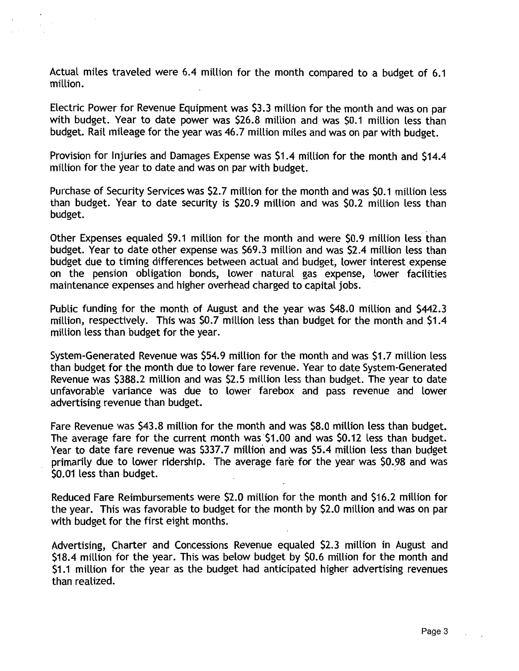Actual miles traveled were 6.4 million for the month compared to a budget of 6.1 million.

Electric Power for Revenue Equipment was \$3.3 million for the month and was on par with budget. Year to date power was \$26.8 million and was \$0.1 million less than budget. Rail mileage for the year was 46.7 million miles and was on par with budget.

Provision for Injuries and Damages Expense was \$1.4 million for the month and \$14.4 million for the year to date and was on par with budget.

Purchase of Security Services was \$2.7 million for the month and was \$0.1 million less than budget. Year to date security is \$20.9 million and was \$0.2 million less than budget.

Other Expenses equaled \$9.1 million for the month and were \$0.9 million less than budget. Year to date other expense was \$69.3 million and was \$2.4 million less than budget due to timing differences between actual and budget, lower interest expense on the pension obligation bonds, lower natural gas expense, lower facilities maintenance expenses and higher overhead charged to capital jobs.

Public funding for the month of August and the year was \$48.0 million and \$442.3 million, respectively. This was \$0.7 million less than budget for the month and \$1.4 million less than budget for the year.

System-Generated Revenue was \$54.9 million for the month and was \$1.7 million less than budget for the month due to lower fare revenue. Year to date System-Generated Revenue was \$388.2 million and was \$2.5 million less than budget. The year to date unfavorable variance was due to lower farebox and pass revenue and lower advertising revenue than budget.

Fare Revenue was \$43.8 million for the month and was \$8.0 million less than budget. The average fare for the current month was \$1.00 and was \$0.12 less than budget. Year to date fare revenue was \$337.7 million and was \$5.4 million less than budget primarily due to lower ridership. The average fare for the year was \$0..98 and was \$0.01 less than budget.

Reduced Fare Reimbursements were \$2.0 million for the month and \$16.2 million for the year. This was favorable to budget for the month by \$2.0 million and was on par with budget for the first eight months.

Advertising, Charter and Concessions Revenue equaled \$2.3 million in August and \$18.4 million for the year. This was below budget by \$0.6 million for the month and \$1.1 million for the year as the budget had anticipated higher advertising revenues than realized.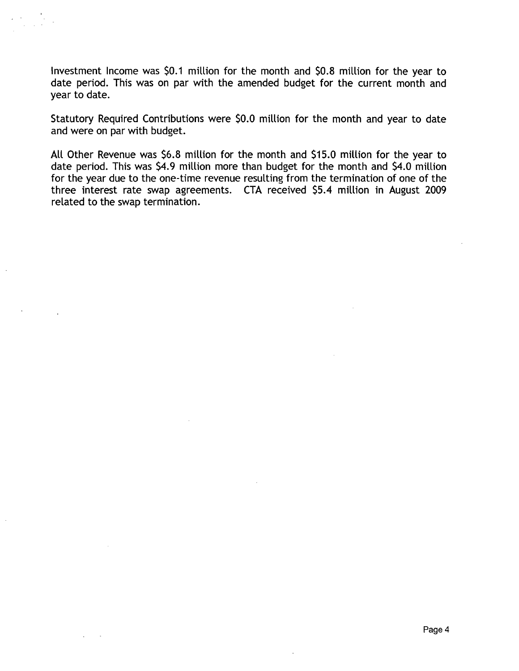Investment Income was \$0.1 million for the month and \$0.8 million for the year to date period. This was on par with the amended budget for the current month and year to date.

Statutory Required Contributions were \$0.0 million for the month and year to date and were on par with budget.

All Other Revenue was \$6.8 million for the month and \$15.0 million for the year to date period. This was \$4.9 million more than budget for the month and \$4.0 million for the year due to the one-time revenue resulting from the termination of one of the three interest rate swap agreements. CTA received \$5.4 million in August 2009 related to the swap termination.